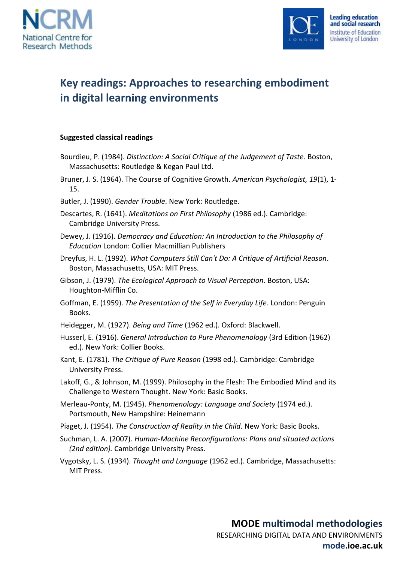



## **Key readings: Approaches to researching embodiment in digital learning environments**

## **Suggested classical readings**

- Bourdieu, P. (1984). *Distinction: A Social Critique of the Judgement of Taste*. Boston, Massachusetts: Routledge & Kegan Paul Ltd.
- Bruner, J. S. (1964). The Course of Cognitive Growth. *American Psychologist, 19*(1), 1- 15.
- Butler, J. (1990). *Gender Trouble*. New York: Routledge.
- Descartes, R. (1641). *Meditations on First Philosophy* (1986 ed.). Cambridge: Cambridge University Press.
- Dewey, J. (1916). *Democracy and Education: An Introduction to the Philosophy of Education* London: Collier Macmillian Publishers
- Dreyfus, H. L. (1992). *What Computers Still Can't Do: A Critique of Artificial Reason*. Boston, Massachusetts, USA: MIT Press.
- Gibson, J. (1979). *The Ecological Approach to Visual Perception*. Boston, USA: Houghton-Mifflin Co.
- Goffman, E. (1959). *The Presentation of the Self in Everyday Life*. London: Penguin Books.
- Heidegger, M. (1927). *Being and Time* (1962 ed.). Oxford: Blackwell.
- Husserl, E. (1916). *General Introduction to Pure Phenomenology* (3rd Edition (1962) ed.). New York: Collier Books.
- Kant, E. (1781). *The Critique of Pure Reason* (1998 ed.). Cambridge: Cambridge University Press.
- Lakoff, G., & Johnson, M. (1999). Philosophy in the Flesh: The Embodied Mind and its Challenge to Western Thought. New York: Basic Books.
- Merleau-Ponty, M. (1945). *Phenomenology: Language and Society* (1974 ed.). Portsmouth, New Hampshire: Heinemann
- Piaget, J. (1954). *The Construction of Reality in the Child*. New York: Basic Books.
- Suchman, L. A. (2007). *Human-Machine Reconfigurations: Plans and situated actions (2nd edition).* Cambridge University Press.

Vygotsky, L. S. (1934). *Thought and Language* (1962 ed.). Cambridge, Massachusetts: MIT Press.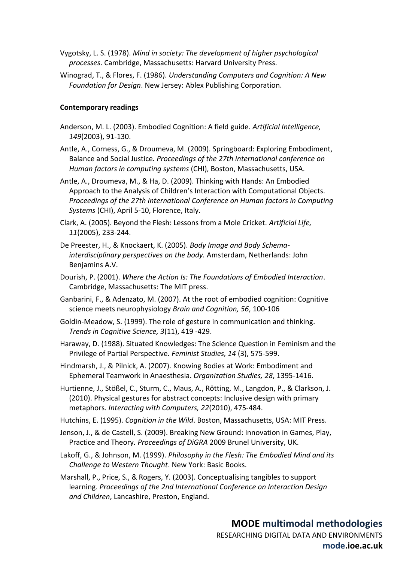- Vygotsky, L. S. (1978). *Mind in society: The development of higher psychological processes*. Cambridge, Massachusetts: Harvard University Press.
- Winograd, T., & Flores, F. (1986). *Understanding Computers and Cognition: A New Foundation for Design*. New Jersey: Ablex Publishing Corporation.

## **Contemporary readings**

- Anderson, M. L. (2003). Embodied Cognition: A field guide. *Artificial Intelligence, 149*(2003), 91-130.
- Antle, A., Corness, G., & Droumeva, M. (2009). Springboard: Exploring Embodiment, Balance and Social Justice*. Proceedings of the 27th international conference on Human factors in computing systems* (CHI), Boston, Massachusetts, USA.
- Antle, A., Droumeva, M., & Ha, D. (2009). Thinking with Hands: An Embodied Approach to the Analysis of Children's Interaction with Computational Objects. *Proceedings of the 27th International Conference on Human factors in Computing Systems* (CHI), April 5-10, Florence, Italy.
- Clark, A. (2005). Beyond the Flesh: Lessons from a Mole Cricket. *Artificial Life, 11*(2005), 233-244.
- De Preester, H., & Knockaert, K. (2005). *Body Image and Body Schemainterdisciplinary perspectives on the body.* Amsterdam, Netherlands: John Benjamins A.V.
- Dourish, P. (2001). *Where the Action Is: The Foundations of Embodied Interaction*. Cambridge, Massachusetts: The MIT press.
- Ganbarini, F., & Adenzato, M. (2007). At the root of embodied cognition: Cognitive science meets neurophysiology *Brain and Cognition, 56*, 100-106
- Goldin-Meadow, S. (1999). The role of gesture in communication and thinking. *Trends in Cognitive Science, 3*(11), 419 -429.
- Haraway, D. (1988). Situated Knowledges: The Science Question in Feminism and the Privilege of Partial Perspective. *Feminist Studies, 14* (3), 575-599.

Hindmarsh, J., & Pilnick, A. (2007). Knowing Bodies at Work: Embodiment and Ephemeral Teamwork in Anaesthesia. *Organization Studies, 28*, 1395-1416.

- Hurtienne, J., Stößel, C., Sturm, C., Maus, A., Rötting, M., Langdon, P., & Clarkson, J. (2010). Physical gestures for abstract concepts: Inclusive design with primary metaphors. *Interacting with Computers, 22*(2010), 475-484.
- Hutchins, E. (1995). *Cognition in the Wild*. Boston, Massachusetts, USA: MIT Press.
- Jenson, J., & de Castell, S. (2009). Breaking New Ground: Innovation in Games, Play, Practice and Theory*. Proceedings of DiGRA* 2009 Brunel University, UK.
- Lakoff, G., & Johnson, M. (1999). *Philosophy in the Flesh: The Embodied Mind and its Challenge to Western Thought*. New York: Basic Books.

Marshall, P., Price, S., & Rogers, Y. (2003). Conceptualising tangibles to support learning*. Proceedings of the 2nd International Conference on Interaction Design and Children*, Lancashire, Preston, England.

**mode.ioe.ac.uk**